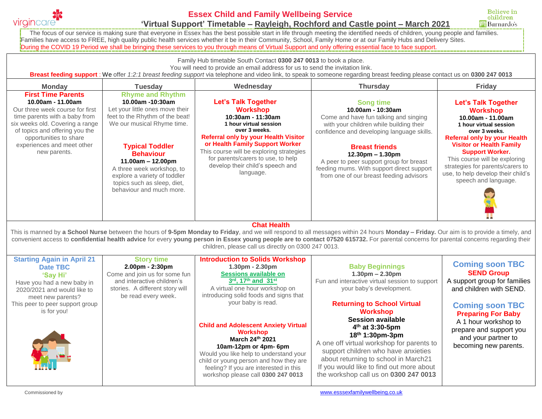

## **Essex Child and Family Wellbeing Service 'Virtual Support' Timetable – Rayleigh, Rochford and Castle point – March 2021**

**Believe in** children **ill Barnardo's** 

The focus of our service is making sure that everyone in Essex has the best possible start in life through meeting the identified needs of children, young people and families. Families have access to FREE, high quality public health services whether it be in their Community, School, Family Home or at our Family Hubs and Delivery Sites. During the COVID 19 Period we shall be bringing these services to you through means of Virtual Support and only offering essential face to face support.

Family Hub timetable South Contact **0300 247 0013** to book a place.

You will need to provide an email address for us to send the invitation link.

**Breast feeding support** : We offer *1:2:1 breast feeding support* via telephone and video link, to speak to someone regarding breast feeding please contact us on **0300 247 0013**

| <b>Monday</b>                                                                                                                                                                                                                                                   | <b>Tuesday</b>                                                                                                                                                                                                                                                                                                                               | Wednesday                                                                                                                                                                                                                                                                                                                   | <b>Thursday</b>                                                                                                                                                                                                                                                                                                                                           | <b>Friday</b>                                                                                                                                                                                                                                                                                                                                               |  |  |  |
|-----------------------------------------------------------------------------------------------------------------------------------------------------------------------------------------------------------------------------------------------------------------|----------------------------------------------------------------------------------------------------------------------------------------------------------------------------------------------------------------------------------------------------------------------------------------------------------------------------------------------|-----------------------------------------------------------------------------------------------------------------------------------------------------------------------------------------------------------------------------------------------------------------------------------------------------------------------------|-----------------------------------------------------------------------------------------------------------------------------------------------------------------------------------------------------------------------------------------------------------------------------------------------------------------------------------------------------------|-------------------------------------------------------------------------------------------------------------------------------------------------------------------------------------------------------------------------------------------------------------------------------------------------------------------------------------------------------------|--|--|--|
| <b>First Time Parents</b><br>10.00am - 11.00am<br>Our three week course for first<br>time parents with a baby from<br>six weeks old. Covering a range<br>of topics and offering you the<br>opportunities to share<br>experiences and meet other<br>new parents. | <b>Rhyme and Rhythm</b><br>10.00am -10:30am<br>Let your little ones move their<br>feet to the Rhythm of the beat!<br>We our musical Rhyme time.<br><b>Typical Toddler</b><br><b>Behaviour</b><br>$11.00am - 12.00pm$<br>A three week workshop, to<br>explore a variety of toddler<br>topics such as sleep, diet,<br>behaviour and much more. | Let's Talk Together<br><b>Workshop</b><br>10:30am - 11:30am<br>1 hour virtual session<br>over 3 weeks.<br><b>Referral only by your Health Visitor</b><br>or Health Family Support Worker<br>This course will be exploring strategies<br>for parents/carers to use, to help<br>develop their child's speech and<br>language. | <b>Song time</b><br>10.00am - 10:30am<br>Come and have fun talking and singing<br>with your children while building their<br>confidence and developing language skills.<br><b>Breast friends</b><br>$12.30pm - 1.30pm$<br>A peer to peer support group for breast<br>feeding mums. With support direct support<br>from one of our breast feeding advisors | <b>Let's Talk Together</b><br><b>Workshop</b><br>10.00am - 11.00am<br>1 hour virtual session<br>over 3 weeks.<br><b>Referral only by your Health</b><br><b>Visitor or Health Family</b><br><b>Support Worker.</b><br>This course will be exploring<br>strategies for parents/carers to<br>use, to help develop their child's<br>speech and language.<br>- - |  |  |  |
| <b>Chat Health</b>                                                                                                                                                                                                                                              |                                                                                                                                                                                                                                                                                                                                              |                                                                                                                                                                                                                                                                                                                             |                                                                                                                                                                                                                                                                                                                                                           |                                                                                                                                                                                                                                                                                                                                                             |  |  |  |

This is manned by **a School Nurse** between the hours of **9-5pm Monday to Friday**, and we will respond to all messages within 24 hours **Monday – Friday.** Our aim is to provide a timely, and convenient access to **confidential health advice** for every **young person in Essex young people are to contact 07520 615732.** For parental concerns for parental concerns regarding their children, please call us directly on 0300 247 0013.

| <b>Starting Again in April 21</b><br>Date TBC<br><b>'Say Hi'</b><br>Have you had a new baby in<br>2020/2021 and would like to<br>meet new parents? | <b>Story time</b><br>$2.00pm - 2:30pm$<br>Come and join us for some fun<br>and interactive children's<br>stories. A different story will<br>be read every week. | <b>Introduction to Solids Workshop</b><br>$1.30pm - 2.30pm$<br><b>Sessions available on</b><br>3rd, 17th and 31st<br>A virtual one hour workshop on<br>introducing solid foods and signs that                                                                                                        | <b>Baby Beginnings</b><br>$1.30pm - 2.30pm$<br>Fun and interactive virtual session to support<br>your baby's development.                                                                                                                                                                                                             | <b>Coming soon TBC</b><br><b>SEND Group</b><br>A support group for families<br>and children with SEND.                                                 |
|----------------------------------------------------------------------------------------------------------------------------------------------------|-----------------------------------------------------------------------------------------------------------------------------------------------------------------|------------------------------------------------------------------------------------------------------------------------------------------------------------------------------------------------------------------------------------------------------------------------------------------------------|---------------------------------------------------------------------------------------------------------------------------------------------------------------------------------------------------------------------------------------------------------------------------------------------------------------------------------------|--------------------------------------------------------------------------------------------------------------------------------------------------------|
| This peer to peer support group<br>is for you!                                                                                                     |                                                                                                                                                                 | your baby is read.<br><b>Child and Adolescent Anxiety Virtual</b><br><b>Workshop</b><br>March 24th 2021<br>10am-12pm or 4pm- 6pm<br>Would you like help to understand your<br>child or young person and how they are<br>feeling? If you are interested in this<br>workshop please call 0300 247 0013 | <b>Returning to School Virtual</b><br><b>Workshop</b><br>Session available<br>$4th$ at 3:30-5pm<br>$18th 1:30pm-3pm$<br>A one off virtual workshop for parents to<br>support children who have anxieties<br>about returning to school in March21<br>If you would like to find out more about<br>the workshop call us on 0300 247 0013 | <b>Coming soon TBC</b><br><b>Preparing For Baby</b><br>A 1 hour workshop to<br>prepare and support you<br>and your partner to<br>becoming new parents. |